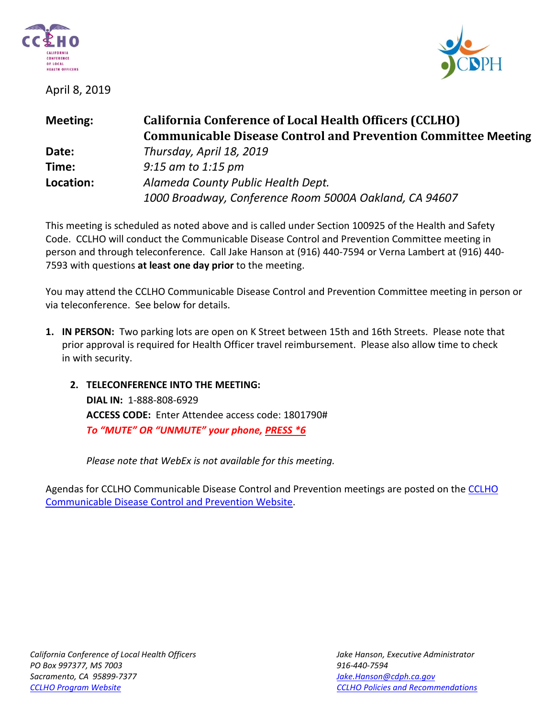

April 8, 2019



| <b>Meeting:</b> | <b>California Conference of Local Health Officers (CCLHO)</b>        |
|-----------------|----------------------------------------------------------------------|
|                 | <b>Communicable Disease Control and Prevention Committee Meeting</b> |
| Date:           | Thursday, April 18, 2019                                             |
| Time:           | $9:15$ am to 1:15 pm                                                 |
| Location:       | Alameda County Public Health Dept.                                   |
|                 | 1000 Broadway, Conference Room 5000A Oakland, CA 94607               |

This meeting is scheduled as noted above and is called under Section 100925 of the Health and Safety Code. CCLHO will conduct the Communicable Disease Control and Prevention Committee meeting in person and through teleconference. Call Jake Hanson at (916) 440-7594 or Verna Lambert at (916) 440- 7593 with questions **at least one day prior** to the meeting.

You may attend the CCLHO Communicable Disease Control and Prevention Committee meeting in person or via teleconference. See below for details.

- **1. IN PERSON:** Two parking lots are open on K Street between 15th and 16th Streets. Please note that prior approval is required for Health Officer travel reimbursement. Please also allow time to check in with security.
	- **2. TELECONFERENCE INTO THE MEETING: DIAL IN:** 1-888-808-6929 **ACCESS CODE:** Enter Attendee access code: 1801790# *To "MUTE" OR "UNMUTE" your phone, PRESS \*6*

*Please note that WebEx is not available for this meeting.*

Agendas for CCLHO Communicable Disease Control and Prevention meetings are posted on th[e CCLHO](https://www.cdph.ca.gov/Programs/CCLHO/Pages/CommunicableDiseaseControlAndPrevention.aspx)  [Communicable Disease Control and Prevention Website.](https://www.cdph.ca.gov/Programs/CCLHO/Pages/CommunicableDiseaseControlAndPrevention.aspx)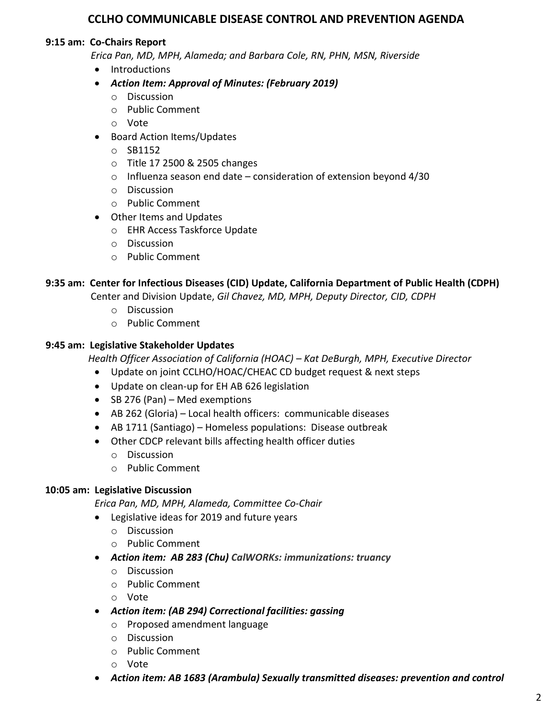## **CCLHO COMMUNICABLE DISEASE CONTROL AND PREVENTION AGENDA**

### **9:15 am: Co-Chairs Report**

 *Erica Pan, MD, MPH, Alameda; and Barbara Cole, RN, PHN, MSN, Riverside*

- Introductions
- *Action Item: Approval of Minutes: (February 2019)*
	- o Discussion
	- o Public Comment
	- o Vote
- Board Action Items/Updates
	- o SB1152
	- o Title 17 2500 & 2505 changes
	- $\circ$  Influenza season end date consideration of extension beyond 4/30
	- o Discussion
	- o Public Comment
- Other Items and Updates
	- o EHR Access Taskforce Update
	- o Discussion
	- o Public Comment

## **9:35 am: Center for Infectious Diseases (CID) Update, California Department of Public Health (CDPH)**

Center and Division Update, *Gil Chavez, MD, MPH, Deputy Director, CID, CDPH*

- o Discussion
- o Public Comment

### **9:45 am: Legislative Stakeholder Updates**

 *Health Officer Association of California (HOAC) – Kat DeBurgh, MPH, Executive Director*

- Update on joint CCLHO/HOAC/CHEAC CD budget request & next steps
- Update on clean-up for EH AB 626 legislation
- SB 276 (Pan) Med exemptions
- AB 262 (Gloria) Local health officers: communicable diseases
- AB 1711 (Santiago) Homeless populations: Disease outbreak
- Other CDCP relevant bills affecting health officer duties
	- o Discussion
	- o Public Comment

### **10:05 am: Legislative Discussion**

*Erica Pan, MD, MPH, Alameda, Committee Co-Chair*

- Legislative ideas for 2019 and future years
	- o Discussion
	- o Public Comment
- *Action item: AB 283 (Chu) CalWORKs: immunizations: truancy*
	- o Discussion
	- o Public Comment
	- o Vote
- *Action item: (AB 294) Correctional facilities: gassing* 
	- o Proposed amendment language
	- o Discussion
	- o Public Comment
	- o Vote
- *Action item: AB 1683 (Arambula) Sexually transmitted diseases: prevention and control*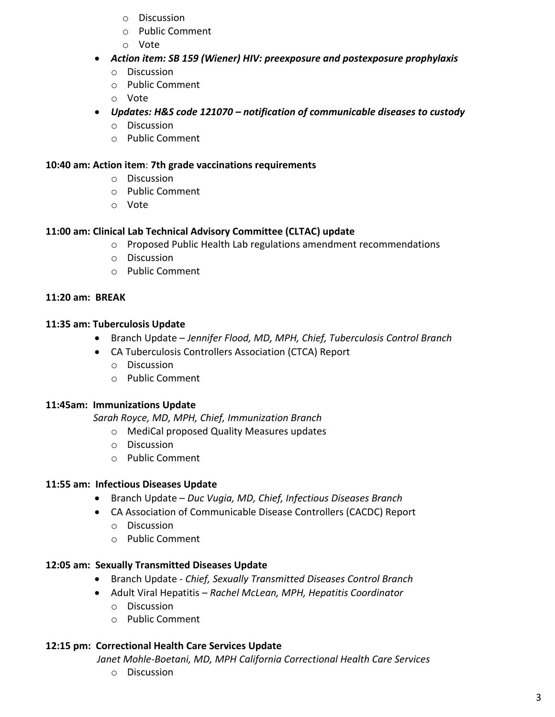- o Discussion
- o Public Comment
- o Vote
- *Action item: SB 159 (Wiener) HIV: preexposure and postexposure prophylaxis*
	- o Discussion
	- o Public Comment
	- o Vote
- *Updates: H&S code 121070 – notification of communicable diseases to custody* 
	- o Discussion
	- o Public Comment

#### **10:40 am: Action item**: **7th grade vaccinations requirements**

- o Discussion
- o Public Comment
- o Vote

### **11:00 am: Clinical Lab Technical Advisory Committee (CLTAC) update**

- o Proposed Public Health Lab regulations amendment recommendations
- o Discussion
- o Public Comment

### **11:20 am: BREAK**

### **11:35 am: Tuberculosis Update**

- Branch Update *Jennifer Flood, MD, MPH, Chief, Tuberculosis Control Branch*
- CA Tuberculosis Controllers Association (CTCA) Report
	- o Discussion
	- o Public Comment

### **11:45am: Immunizations Update**

 *Sarah Royce, MD, MPH, Chief, Immunization Branch*

- o MediCal proposed Quality Measures updates
- o Discussion
- o Public Comment

### **11:55 am: Infectious Diseases Update**

- Branch Update *Duc Vugia, MD, Chief, Infectious Diseases Branch*
- CA Association of Communicable Disease Controllers (CACDC) Report
	- o Discussion
	- o Public Comment

### **12:05 am: Sexually Transmitted Diseases Update**

- Branch Update *Chief, Sexually Transmitted Diseases Control Branch*
- Adult Viral Hepatitis *Rachel McLean, MPH, Hepatitis Coordinator*
	- o Discussion
	- o Public Comment

### **12:15 pm: Correctional Health Care Services Update**

*Janet Mohle-Boetani, MD, MPH California Correctional Health Care Services*

o Discussion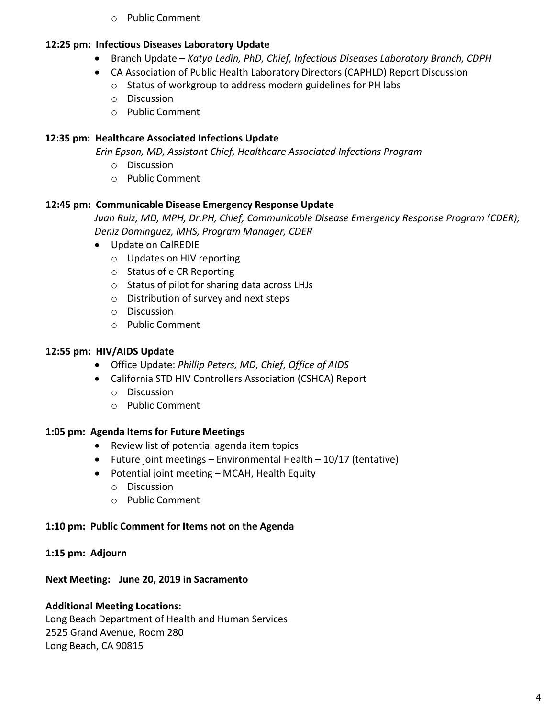o Public Comment

# **12:25 pm: Infectious Diseases Laboratory Update**

- Branch Update *Katya Ledin, PhD, Chief, Infectious Diseases Laboratory Branch, CDPH*
- CA Association of Public Health Laboratory Directors (CAPHLD) Report Discussion
	- o Status of workgroup to address modern guidelines for PH labs
	- o Discussion
	- o Public Comment

# **12:35 pm: Healthcare Associated Infections Update**

 *Erin Epson, MD, Assistant Chief, Healthcare Associated Infections Program*

- o Discussion
- o Public Comment

# **12:45 pm: Communicable Disease Emergency Response Update**

*Juan Ruiz, MD, MPH, Dr.PH, Chief, Communicable Disease Emergency Response Program (CDER); Deniz Dominguez, MHS, Program Manager, CDER*

- Update on CalREDIE
	- o Updates on HIV reporting
	- o Status of e CR Reporting
	- o Status of pilot for sharing data across LHJs
	- o Distribution of survey and next steps
	- o Discussion
	- o Public Comment

# **12:55 pm: HIV/AIDS Update**

- Office Update: *Phillip Peters, MD, Chief, Office of AIDS*
- California STD HIV Controllers Association (CSHCA) Report
	- o Discussion
	- o Public Comment

## **1:05 pm: Agenda Items for Future Meetings**

- Review list of potential agenda item topics
- Future joint meetings Environmental Health  $10/17$  (tentative)
- Potential joint meeting MCAH, Health Equity
	- o Discussion
	- o Public Comment

# **1:10 pm: Public Comment for Items not on the Agenda**

## **1:15 pm: Adjourn**

# **Next Meeting: June 20, 2019 in Sacramento**

# **Additional Meeting Locations:**

Long Beach Department of Health and Human Services 2525 Grand Avenue, Room 280 Long Beach, CA 90815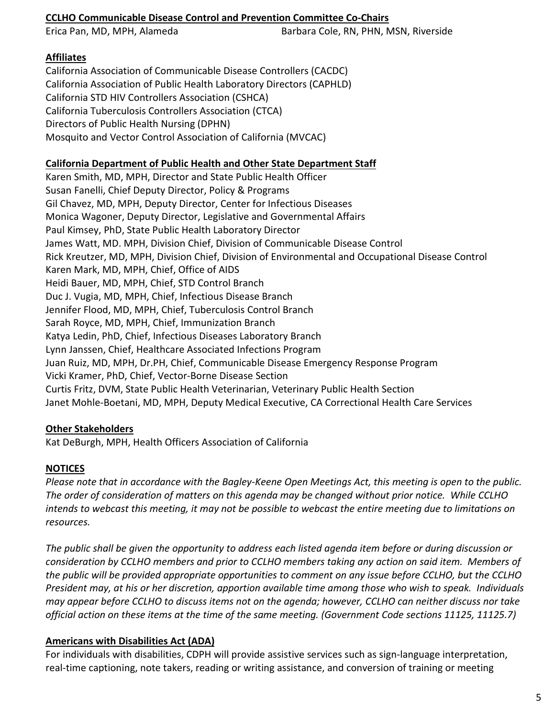### **CCLHO Communicable Disease Control and Prevention Committee Co-Chairs**

Erica Pan, MD, MPH, Alameda Barbara Cole, RN, PHN, MSN, Riverside

## **Affiliates**

California Association of Communicable Disease Controllers (CACDC) California Association of Public Health Laboratory Directors (CAPHLD) California STD HIV Controllers Association (CSHCA) California Tuberculosis Controllers Association (CTCA) Directors of Public Health Nursing (DPHN) Mosquito and Vector Control Association of California (MVCAC)

### **California Department of Public Health and Other State Department Staff**

Karen Smith, MD, MPH, Director and State Public Health Officer Susan Fanelli, Chief Deputy Director, Policy & Programs Gil Chavez, MD, MPH, Deputy Director, Center for Infectious Diseases Monica Wagoner, Deputy Director, Legislative and Governmental Affairs Paul Kimsey, PhD, State Public Health Laboratory Director James Watt, MD. MPH, Division Chief, Division of Communicable Disease Control Rick Kreutzer, MD, MPH, Division Chief, Division of Environmental and Occupational Disease Control Karen Mark, MD, MPH, Chief, Office of AIDS Heidi Bauer, MD, MPH, Chief, STD Control Branch Duc J. Vugia, MD, MPH, Chief, Infectious Disease Branch Jennifer Flood, MD, MPH, Chief, Tuberculosis Control Branch Sarah Royce, MD, MPH, Chief, Immunization Branch Katya Ledin, PhD, Chief, Infectious Diseases Laboratory Branch Lynn Janssen, Chief, Healthcare Associated Infections Program Juan Ruiz, MD, MPH, Dr.PH, Chief, Communicable Disease Emergency Response Program Vicki Kramer, PhD, Chief, Vector-Borne Disease Section Curtis Fritz, DVM, State Public Health Veterinarian, Veterinary Public Health Section Janet Mohle-Boetani, MD, MPH, Deputy Medical Executive, CA Correctional Health Care Services

### **Other Stakeholders**

Kat DeBurgh, MPH, Health Officers Association of California

## **NOTICES**

*Please note that in accordance with the Bagley-Keene Open Meetings Act, this meeting is open to the public. The order of consideration of matters on this agenda may be changed without prior notice. While CCLHO intends to webcast this meeting, it may not be possible to webcast the entire meeting due to limitations on resources.*

*The public shall be given the opportunity to address each listed agenda item before or during discussion or consideration by CCLHO members and prior to CCLHO members taking any action on said item. Members of the public will be provided appropriate opportunities to comment on any issue before CCLHO, but the CCLHO President may, at his or her discretion, apportion available time among those who wish to speak. Individuals may appear before CCLHO to discuss items not on the agenda; however, CCLHO can neither discuss nor take official action on these items at the time of the same meeting. (Government Code sections 11125, 11125.7)*

## **Americans with Disabilities Act (ADA)**

For individuals with disabilities, CDPH will provide assistive services such as sign-language interpretation, real-time captioning, note takers, reading or writing assistance, and conversion of training or meeting